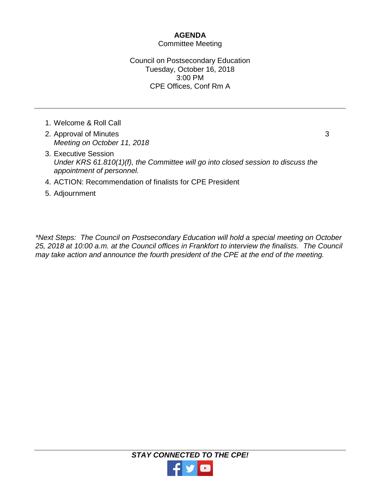## **AGENDA**

## Committee Meeting

## Council on Postsecondary Education Tuesday, October 16, 2018 3:00 PM CPE Offices, Conf Rm A

- 1. Welcome & Roll Call
- 2. Approval of Minutes *Meeting on October 11, 2018*
- 3
- 3. Executive Session *Under KRS 61.810(1)(f), the Committee will go into closed session to discuss the appointment of personnel.*
- 4. ACTION: Recommendation of finalists for CPE President
- 5. Adjournment

*\*Next Steps: The Council on Postsecondary Education will hold a special meeting on October 25, 2018 at 10:00 a.m. at the Council offices in Frankfort to interview the finalists. The Council may take action and announce the fourth president of the CPE at the end of the meeting.*